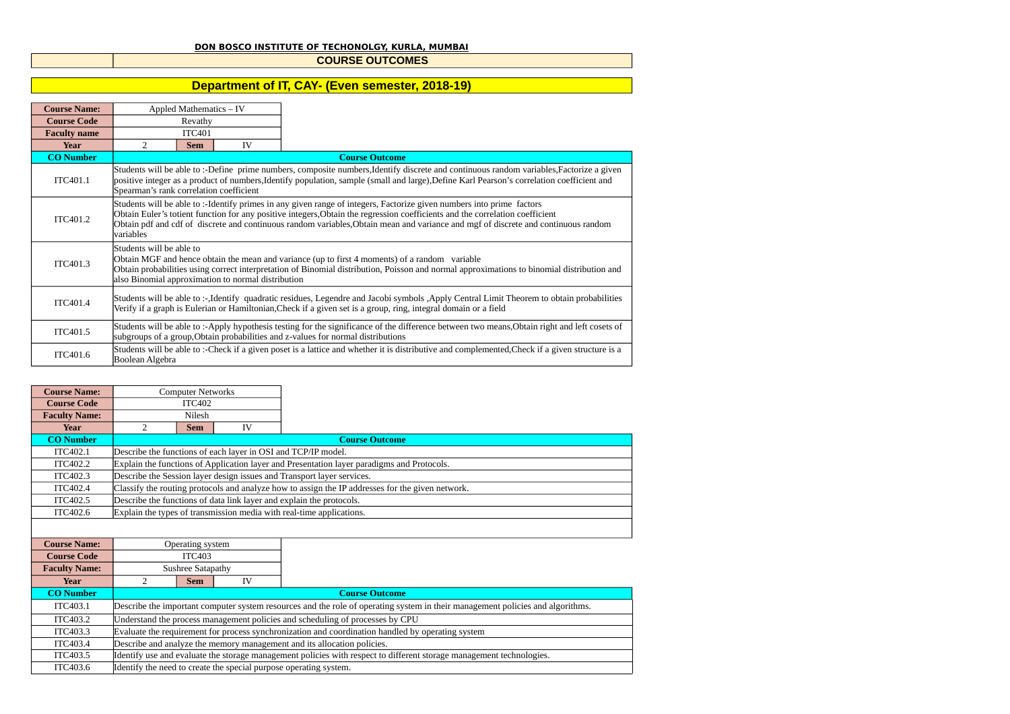## **DON BOSCO INSTITUTE OF TECHONOLGY, KURLA, MUMBAI**

## **COURSE OUTCOMES**

## **Department of IT, CAY- (Even semester, 2018-19)**

| <b>Course Name:</b> |                                                                                | Appled Mathematics - IV                                                                                                                                                                                                                                      |    |                                                                                                                                                                                                                                                                                                                                                                                              |  |  |  |
|---------------------|--------------------------------------------------------------------------------|--------------------------------------------------------------------------------------------------------------------------------------------------------------------------------------------------------------------------------------------------------------|----|----------------------------------------------------------------------------------------------------------------------------------------------------------------------------------------------------------------------------------------------------------------------------------------------------------------------------------------------------------------------------------------------|--|--|--|
| <b>Course Code</b>  |                                                                                | Revathy                                                                                                                                                                                                                                                      |    |                                                                                                                                                                                                                                                                                                                                                                                              |  |  |  |
| <b>Faculty name</b> | <b>ITC401</b>                                                                  |                                                                                                                                                                                                                                                              |    |                                                                                                                                                                                                                                                                                                                                                                                              |  |  |  |
| Year                | 2                                                                              | <b>Sem</b>                                                                                                                                                                                                                                                   | IV |                                                                                                                                                                                                                                                                                                                                                                                              |  |  |  |
| <b>CO</b> Number    |                                                                                |                                                                                                                                                                                                                                                              |    | <b>Course Outcome</b>                                                                                                                                                                                                                                                                                                                                                                        |  |  |  |
| ITC401.1            | Spearman's rank correlation coefficient                                        |                                                                                                                                                                                                                                                              |    | Students will be able to :-Define prime numbers, composite numbers, Identify discrete and continuous random variables, Factorize a given<br>positive integer as a product of numbers, Identify population, sample (small and large), Define Karl Pearson's correlation coefficient and                                                                                                       |  |  |  |
| ITC401.2            | variables                                                                      |                                                                                                                                                                                                                                                              |    | Students will be able to :-Identify primes in any given range of integers, Factorize given numbers into prime factors<br>Obtain Euler's totient function for any positive integers, Obtain the regression coefficients and the correlation coefficient<br>Obtain pdf and cdf of discrete and continuous random variables, Obtain mean and variance and mgf of discrete and continuous random |  |  |  |
| ITC401.3            | Students will be able to<br>also Binomial approximation to normal distribution |                                                                                                                                                                                                                                                              |    | Obtain MGF and hence obtain the mean and variance (up to first 4 moments) of a random variable<br>Obtain probabilities using correct interpretation of Binomial distribution, Poisson and normal approximations to binomial distribution and                                                                                                                                                 |  |  |  |
| ITC401.4            |                                                                                | Students will be able to :-,Identify quadratic residues, Legendre and Jacobi symbols, Apply Central Limit Theorem to obtain probabilities<br>Verify if a graph is Eulerian or Hamiltonian, Check if a given set is a group, ring, integral domain or a field |    |                                                                                                                                                                                                                                                                                                                                                                                              |  |  |  |
| ITC401.5            |                                                                                |                                                                                                                                                                                                                                                              |    | Students will be able to :-Apply hypothesis testing for the significance of the difference between two means, Obtain right and left cosets of<br>subgroups of a group, Obtain probabilities and z-values for normal distributions                                                                                                                                                            |  |  |  |
| ITC401.6            | Boolean Algebra                                                                |                                                                                                                                                                                                                                                              |    | Students will be able to :-Check if a given poset is a lattice and whether it is distributive and complemented, Check if a given structure is a                                                                                                                                                                                                                                              |  |  |  |

| <b>Course Name:</b>  |                                    | <b>Computer Networks</b> |    |                                                                                                                                |
|----------------------|------------------------------------|--------------------------|----|--------------------------------------------------------------------------------------------------------------------------------|
| <b>Course Code</b>   | <b>ITC402</b>                      |                          |    |                                                                                                                                |
| <b>Faculty Name:</b> | Nilesh                             |                          |    |                                                                                                                                |
| <b>Year</b>          | $\overline{2}$<br>IV<br><b>Sem</b> |                          |    |                                                                                                                                |
| <b>CO Number</b>     |                                    |                          |    | <b>Course Outcome</b>                                                                                                          |
| ITC402.1             |                                    |                          |    | Describe the functions of each layer in OSI and TCP/IP model.                                                                  |
| ITC402.2             |                                    |                          |    | Explain the functions of Application layer and Presentation layer paradigms and Protocols.                                     |
| ITC402.3             |                                    |                          |    | Describe the Session layer design issues and Transport layer services.                                                         |
| <b>ITC402.4</b>      |                                    |                          |    | Classify the routing protocols and analyze how to assign the IP addresses for the given network.                               |
| ITC402.5             |                                    |                          |    | Describe the functions of data link layer and explain the protocols.                                                           |
| ITC402.6             |                                    |                          |    | Explain the types of transmission media with real-time applications.                                                           |
|                      |                                    |                          |    |                                                                                                                                |
| <b>Course Name:</b>  |                                    | Operating system         |    |                                                                                                                                |
| <b>Course Code</b>   |                                    | <b>ITC403</b>            |    |                                                                                                                                |
| <b>Faculty Name:</b> |                                    | Sushree Satapathy        |    |                                                                                                                                |
| <b>Year</b>          | $\overline{2}$                     | <b>Sem</b>               | IV |                                                                                                                                |
| <b>CO</b> Number     |                                    |                          |    | <b>Course Outcome</b>                                                                                                          |
| ITC403.1             |                                    |                          |    | Describe the important computer system resources and the role of operating system in their management policies and algorithms. |
| ITC403.2             |                                    |                          |    | Understand the process management policies and scheduling of processes by CPU                                                  |
| ITC403.3             |                                    |                          |    | Evaluate the requirement for process synchronization and coordination handled by operating system                              |
| <b>ITC403.4</b>      |                                    |                          |    | Describe and analyze the memory management and its allocation policies.                                                        |
| ITC403.5             |                                    |                          |    | Identify use and evaluate the storage management policies with respect to different storage management technologies.           |
| ITC403.6             |                                    |                          |    | Identify the need to create the special purpose operating system.                                                              |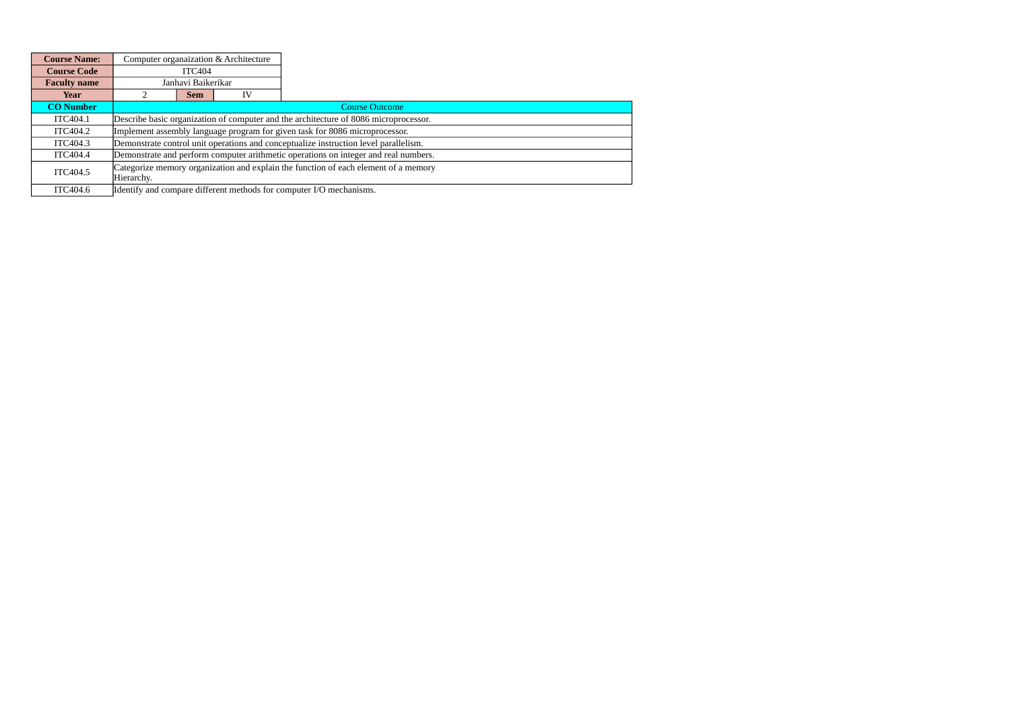| <b>Course Name:</b> |                    |            | Computer organaization & Architecture |                                                                                      |
|---------------------|--------------------|------------|---------------------------------------|--------------------------------------------------------------------------------------|
| <b>Course Code</b>  | <b>ITC404</b>      |            |                                       |                                                                                      |
| <b>Faculty name</b> | Janhavi Baikerikar |            |                                       |                                                                                      |
| Year                |                    | <b>Sem</b> | IV                                    |                                                                                      |
| <b>CO</b> Number    |                    |            |                                       | <b>Course Outcome</b>                                                                |
| ITC404.1            |                    |            |                                       | Describe basic organization of computer and the architecture of 8086 microprocessor. |
| ITC404.2            |                    |            |                                       | Implement assembly language program for given task for 8086 microprocessor.          |
| ITC404.3            |                    |            |                                       | Demonstrate control unit operations and conceptualize instruction level parallelism. |
| ITC404.4            |                    |            |                                       | Demonstrate and perform computer arithmetic operations on integer and real numbers.  |
| ITC404.5            | Hierarchy.         |            |                                       | Categorize memory organization and explain the function of each element of a memory  |
| ITC404.6            |                    |            |                                       | Identify and compare different methods for computer I/O mechanisms.                  |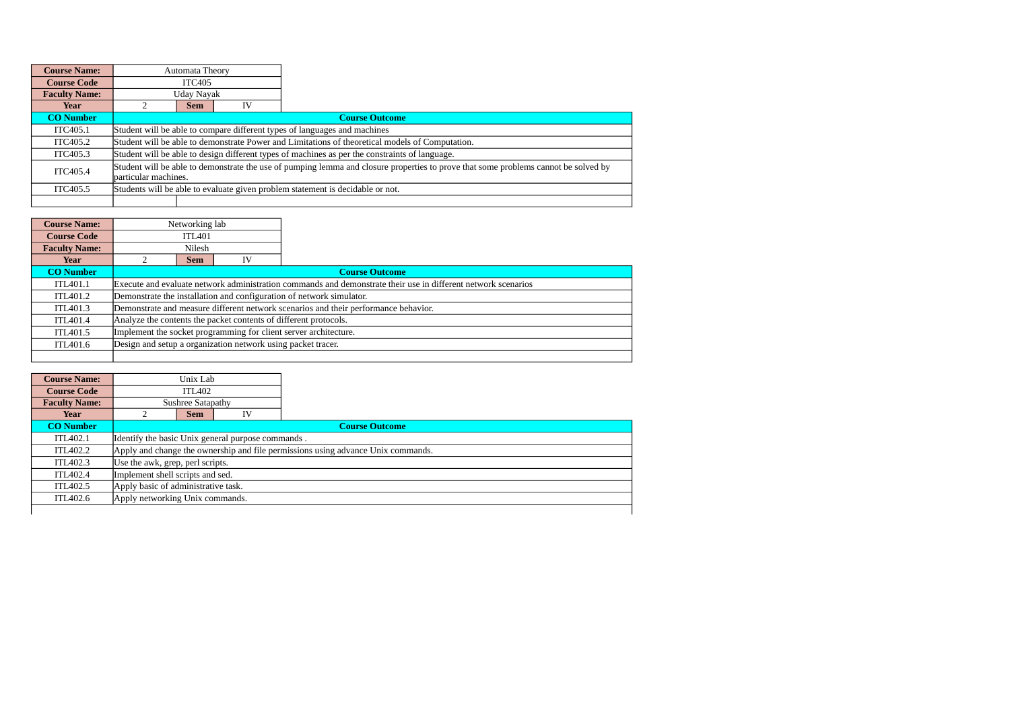| <b>Course Name:</b>  |               | Automata Theory                                                                                                                                             |    |                                                                                                 |  |  |
|----------------------|---------------|-------------------------------------------------------------------------------------------------------------------------------------------------------------|----|-------------------------------------------------------------------------------------------------|--|--|
| <b>Course Code</b>   | <b>ITC405</b> |                                                                                                                                                             |    |                                                                                                 |  |  |
| <b>Faculty Name:</b> | Uday Nayak    |                                                                                                                                                             |    |                                                                                                 |  |  |
| Year                 |               | <b>Sem</b>                                                                                                                                                  | IV |                                                                                                 |  |  |
| <b>CO</b> Number     |               |                                                                                                                                                             |    | <b>Course Outcome</b>                                                                           |  |  |
| ITC405.1             |               |                                                                                                                                                             |    | Student will be able to compare different types of languages and machines                       |  |  |
| ITC405.2             |               |                                                                                                                                                             |    | Student will be able to demonstrate Power and Limitations of theoretical models of Computation. |  |  |
| ITC405.3             |               |                                                                                                                                                             |    | Student will be able to design different types of machines as per the constraints of language.  |  |  |
| ITC405.4             |               | Student will be able to demonstrate the use of pumping lemma and closure properties to prove that some problems cannot be solved by<br>particular machines. |    |                                                                                                 |  |  |
| ITC405.5             |               |                                                                                                                                                             |    | Students will be able to evaluate given problem statement is decidable or not.                  |  |  |
|                      |               |                                                                                                                                                             |    |                                                                                                 |  |  |

| <b>Course Name:</b>  |                                                                  | Networking lab |                                                              |                                                                                                               |  |
|----------------------|------------------------------------------------------------------|----------------|--------------------------------------------------------------|---------------------------------------------------------------------------------------------------------------|--|
| <b>Course Code</b>   | <b>ITL401</b>                                                    |                |                                                              |                                                                                                               |  |
| <b>Faculty Name:</b> |                                                                  | Nilesh         |                                                              |                                                                                                               |  |
| Year                 |                                                                  | Sem            | IV                                                           |                                                                                                               |  |
| <b>CO</b> Number     |                                                                  |                |                                                              | <b>Course Outcome</b>                                                                                         |  |
| ITL401.1             |                                                                  |                |                                                              | Execute and evaluate network administration commands and demonstrate their use in different network scenarios |  |
| ITL401.2             |                                                                  |                |                                                              | Demonstrate the installation and configuration of network simulator.                                          |  |
| ITL401.3             |                                                                  |                |                                                              | Demonstrate and measure different network scenarios and their performance behavior.                           |  |
| ITL401.4             |                                                                  |                |                                                              | Analyze the contents the packet contents of different protocols.                                              |  |
| ITL401.5             | Implement the socket programming for client server architecture. |                |                                                              |                                                                                                               |  |
| ITL401.6             |                                                                  |                | Design and setup a organization network using packet tracer. |                                                                                                               |  |
|                      |                                                                  |                |                                                              |                                                                                                               |  |

| <b>Course Name:</b>  | Unix Lab                                          |                   |    |                                                                                  |
|----------------------|---------------------------------------------------|-------------------|----|----------------------------------------------------------------------------------|
| <b>Course Code</b>   | <b>ITL402</b>                                     |                   |    |                                                                                  |
| <b>Faculty Name:</b> |                                                   | Sushree Satapathy |    |                                                                                  |
| Year                 |                                                   | <b>Sem</b>        | IV |                                                                                  |
| <b>CO</b> Number     |                                                   |                   |    | <b>Course Outcome</b>                                                            |
| ITL402.1             | Identify the basic Unix general purpose commands. |                   |    |                                                                                  |
| ITL402.2             |                                                   |                   |    | Apply and change the ownership and file permissions using advance Unix commands. |
| ITL402.3             | Use the awk, grep, perl scripts.                  |                   |    |                                                                                  |
| ITL402.4             | Implement shell scripts and sed.                  |                   |    |                                                                                  |
| ITL402.5             | Apply basic of administrative task.               |                   |    |                                                                                  |
| ITL402.6             | Apply networking Unix commands.                   |                   |    |                                                                                  |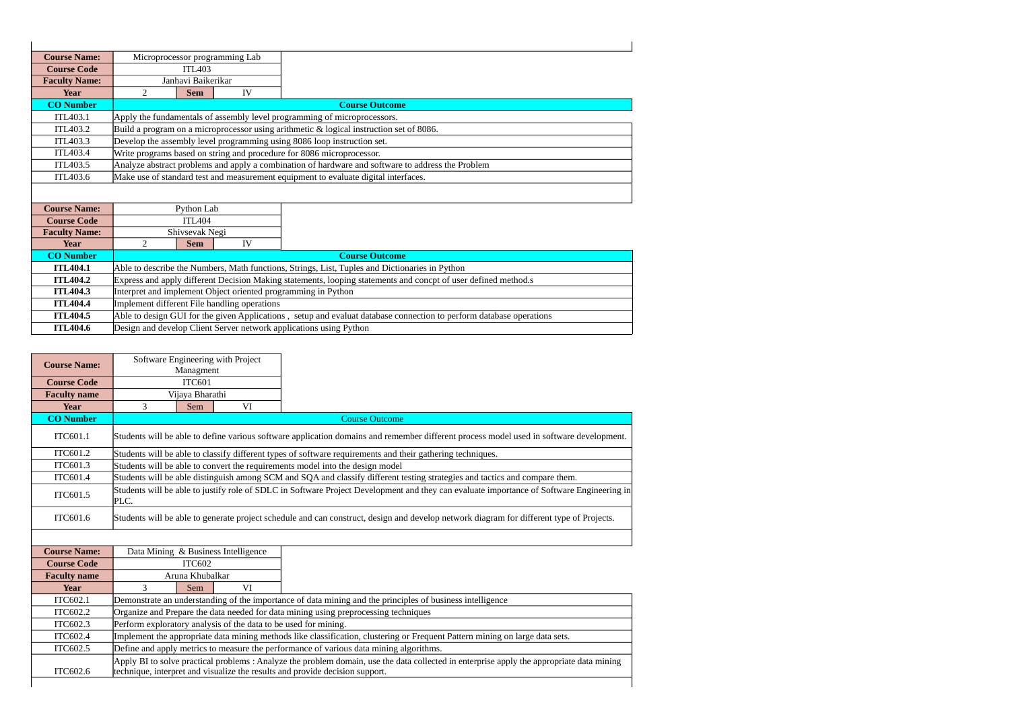| <b>Course Name:</b>                | Microprocessor programming Lab               |                    |    |                                                                                                                     |
|------------------------------------|----------------------------------------------|--------------------|----|---------------------------------------------------------------------------------------------------------------------|
| <b>Course Code</b>                 | <b>ITL403</b>                                |                    |    |                                                                                                                     |
| <b>Faculty Name:</b>               |                                              | Janhavi Baikerikar |    |                                                                                                                     |
| <b>Year</b>                        | $\overline{2}$                               | <b>Sem</b>         | IV |                                                                                                                     |
| <b>CO</b> Number                   |                                              |                    |    | <b>Course Outcome</b>                                                                                               |
| ITL403.1                           |                                              |                    |    | Apply the fundamentals of assembly level programming of microprocessors.                                            |
| ITL403.2                           |                                              |                    |    | Build a program on a microprocessor using arithmetic & logical instruction set of 8086.                             |
| ITL403.3                           |                                              |                    |    | Develop the assembly level programming using 8086 loop instruction set.                                             |
| ITL403.4                           |                                              |                    |    | Write programs based on string and procedure for 8086 microprocessor.                                               |
| ITL403.5                           |                                              |                    |    | Analyze abstract problems and apply a combination of hardware and software to address the Problem                   |
|                                    |                                              |                    |    |                                                                                                                     |
| ITL403.6                           |                                              |                    |    | Make use of standard test and measurement equipment to evaluate digital interfaces.                                 |
|                                    |                                              |                    |    |                                                                                                                     |
|                                    |                                              |                    |    |                                                                                                                     |
| <b>Course Name:</b>                |                                              | Python Lab         |    |                                                                                                                     |
| <b>Course Code</b>                 |                                              | <b>ITL404</b>      |    |                                                                                                                     |
| <b>Faculty Name:</b>               |                                              | Shivsevak Negi     |    |                                                                                                                     |
| Year                               | $\overline{2}$                               | <b>Sem</b>         | IV | <b>Course Outcome</b>                                                                                               |
| <b>CO</b> Number                   |                                              |                    |    |                                                                                                                     |
| <b>ITL404.1</b><br><b>ITL404.2</b> |                                              |                    |    | Able to describe the Numbers, Math functions, Strings, List, Tuples and Dictionaries in Python                      |
| <b>ITL404.3</b>                    |                                              |                    |    | Express and apply different Decision Making statements, looping statements and concpt of user defined method.s      |
| <b>ITL404.4</b>                    |                                              |                    |    | Interpret and implement Object oriented programming in Python                                                       |
| <b>ITL404.5</b>                    | Implement different File handling operations |                    |    | Able to design GUI for the given Applications, setup and evaluat database connection to perform database operations |

| <b>Course Name:</b> |      | Software Engineering with Project<br>Managment                  |                                                                                                                                                                                                                           |
|---------------------|------|-----------------------------------------------------------------|---------------------------------------------------------------------------------------------------------------------------------------------------------------------------------------------------------------------------|
| <b>Course Code</b>  |      | <b>ITC601</b>                                                   |                                                                                                                                                                                                                           |
| <b>Faculty name</b> |      | Vijava Bharathi                                                 |                                                                                                                                                                                                                           |
| <b>Year</b>         | 3    | VI<br>Sem                                                       |                                                                                                                                                                                                                           |
| <b>CO Number</b>    |      |                                                                 | <b>Course Outcome</b>                                                                                                                                                                                                     |
| ITC601.1            |      |                                                                 | Students will be able to define various software application domains and remember different process model used in software development.                                                                                   |
| ITC601.2            |      |                                                                 | Students will be able to classify different types of software requirements and their gathering techniques.                                                                                                                |
| ITC601.3            |      |                                                                 | Students will be able to convert the requirements model into the design model                                                                                                                                             |
| ITC601.4            |      |                                                                 | Students will be able distinguish among SCM and SQA and classify different testing strategies and tactics and compare them.                                                                                               |
| ITC601.5            | PLC. |                                                                 | Students will be able to justify role of SDLC in Software Project Development and they can evaluate importance of Software Engineering in                                                                                 |
| ITC601.6            |      |                                                                 | Students will be able to generate project schedule and can construct, design and develop network diagram for different type of Projects.                                                                                  |
|                     |      |                                                                 |                                                                                                                                                                                                                           |
| <b>Course Name:</b> |      | Data Mining & Business Intelligence                             |                                                                                                                                                                                                                           |
| <b>Course Code</b>  |      | <b>ITC602</b>                                                   |                                                                                                                                                                                                                           |
| <b>Faculty name</b> |      | Aruna Khubalkar                                                 |                                                                                                                                                                                                                           |
| <b>Year</b>         | 3    | VI<br>Sem                                                       |                                                                                                                                                                                                                           |
| ITC602.1            |      |                                                                 | Demonstrate an understanding of the importance of data mining and the principles of business intelligence                                                                                                                 |
| ITC602.2            |      |                                                                 | Organize and Prepare the data needed for data mining using preprocessing techniques                                                                                                                                       |
| ITC602.3            |      | Perform exploratory analysis of the data to be used for mining. |                                                                                                                                                                                                                           |
| ITC602.4            |      |                                                                 | Implement the appropriate data mining methods like classification, clustering or Frequent Pattern mining on large data sets.                                                                                              |
| ITC602.5            |      |                                                                 | Define and apply metrics to measure the performance of various data mining algorithms.                                                                                                                                    |
| ITC602.6            |      |                                                                 | Apply BI to solve practical problems : Analyze the problem domain, use the data collected in enterprise apply the appropriate data mining<br>technique, interpret and visualize the results and provide decision support. |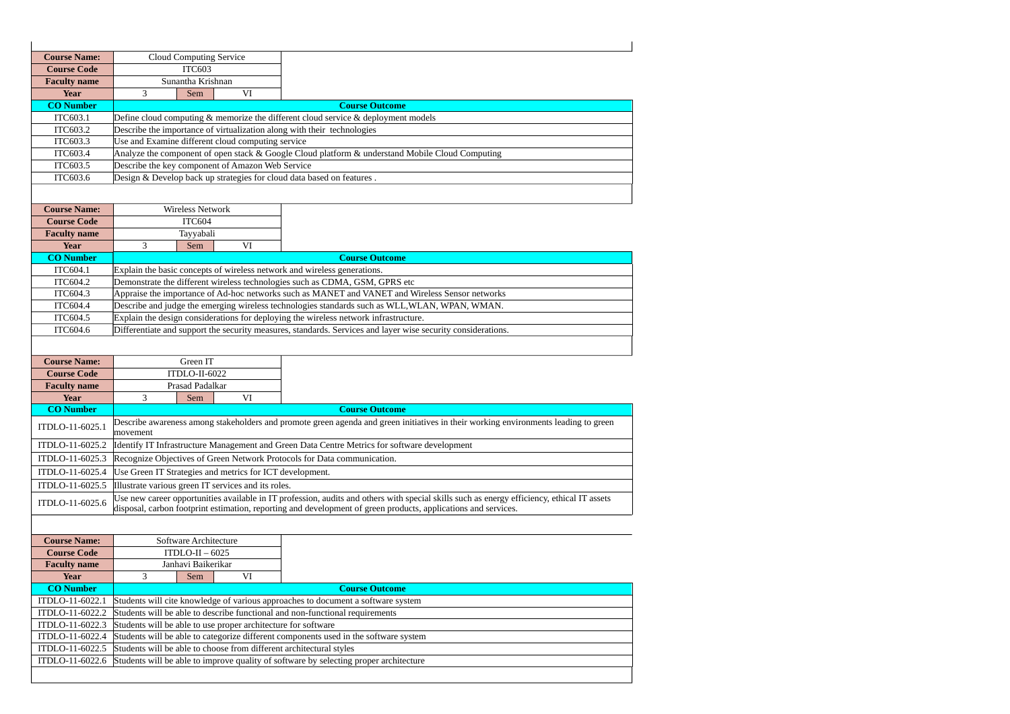| <b>Course Name:</b>                |                                                               | <b>Cloud Computing Service</b> |    |                                                                                                                                                             |
|------------------------------------|---------------------------------------------------------------|--------------------------------|----|-------------------------------------------------------------------------------------------------------------------------------------------------------------|
| <b>Course Code</b>                 |                                                               | <b>ITC603</b>                  |    |                                                                                                                                                             |
| <b>Faculty name</b>                |                                                               | Sunantha Krishnan              |    |                                                                                                                                                             |
| Year                               | 3                                                             | Sem                            | VI |                                                                                                                                                             |
| <b>CO</b> Number                   |                                                               |                                |    | <b>Course Outcome</b>                                                                                                                                       |
| ITC603.1                           |                                                               |                                |    | Define cloud computing & memorize the different cloud service & deployment models                                                                           |
| ITC603.2                           |                                                               |                                |    | Describe the importance of virtualization along with their technologies                                                                                     |
| ITC603.3                           | Use and Examine different cloud computing service             |                                |    |                                                                                                                                                             |
| ITC603.4                           |                                                               |                                |    | Analyze the component of open stack & Google Cloud platform & understand Mobile Cloud Computing                                                             |
| ITC603.5                           | Describe the key component of Amazon Web Service              |                                |    |                                                                                                                                                             |
| ITC603.6                           |                                                               |                                |    | Design & Develop back up strategies for cloud data based on features.                                                                                       |
|                                    |                                                               |                                |    |                                                                                                                                                             |
| <b>Course Name:</b>                |                                                               | Wireless Network               |    |                                                                                                                                                             |
| <b>Course Code</b>                 |                                                               | <b>ITC604</b>                  |    |                                                                                                                                                             |
| <b>Faculty name</b>                |                                                               | Tayyabali                      |    |                                                                                                                                                             |
| <b>Year</b>                        | 3                                                             | Sem                            | VI |                                                                                                                                                             |
| <b>CO</b> Number                   |                                                               |                                |    | <b>Course Outcome</b>                                                                                                                                       |
| ITC604.1                           |                                                               |                                |    | Explain the basic concepts of wireless network and wireless generations.                                                                                    |
| ITC604.2                           |                                                               |                                |    | Demonstrate the different wireless technologies such as CDMA, GSM, GPRS etc                                                                                 |
| ITC604.3                           |                                                               |                                |    | Appraise the importance of Ad-hoc networks such as MANET and VANET and Wireless Sensor networks                                                             |
| ITC604.4                           |                                                               |                                |    | Describe and judge the emerging wireless technologies standards such as WLL, WLAN, WPAN, WMAN.                                                              |
| ITC604.5                           |                                                               |                                |    | Explain the design considerations for deploying the wireless network infrastructure.                                                                        |
| ITC604.6                           |                                                               |                                |    | Differentiate and support the security measures, standards. Services and layer wise security considerations.                                                |
|                                    |                                                               |                                |    |                                                                                                                                                             |
|                                    |                                                               |                                |    |                                                                                                                                                             |
|                                    |                                                               |                                |    |                                                                                                                                                             |
| <b>Course Name:</b>                |                                                               | Green IT                       |    |                                                                                                                                                             |
| <b>Course Code</b>                 |                                                               | ITDLO-II-6022                  |    |                                                                                                                                                             |
| <b>Faculty name</b>                |                                                               | Prasad Padalkar                |    |                                                                                                                                                             |
| Year                               | 3                                                             | Sem                            | VI |                                                                                                                                                             |
| <b>CO</b> Number                   |                                                               |                                |    | <b>Course Outcome</b>                                                                                                                                       |
| ITDLO-11-6025.1                    |                                                               |                                |    | Describe awareness among stakeholders and promote green agenda and green initiatives in their working environments leading to green                         |
|                                    | movement                                                      |                                |    |                                                                                                                                                             |
| ITDLO-11-6025.2                    |                                                               |                                |    | Identify IT Infrastructure Management and Green Data Centre Metrics for software development                                                                |
| ITDLO-11-6025.3                    |                                                               |                                |    | Recognize Objectives of Green Network Protocols for Data communication.                                                                                     |
| ITDLO-11-6025.4                    | Use Green IT Strategies and metrics for ICT development.      |                                |    |                                                                                                                                                             |
| ITDLO-11-6025.5                    | Illustrate various green IT services and its roles.           |                                |    |                                                                                                                                                             |
| ITDLO-11-6025.6                    |                                                               |                                |    | Use new career opportunities available in IT profession, audits and others with special skills such as energy efficiency, ethical IT assets                 |
|                                    |                                                               |                                |    | disposal, carbon footprint estimation, reporting and development of green products, applications and services.                                              |
|                                    |                                                               |                                |    |                                                                                                                                                             |
| <b>Course Name:</b>                |                                                               | Software Architecture          |    |                                                                                                                                                             |
| <b>Course Code</b>                 |                                                               | $ITDLO-II - 6025$              |    |                                                                                                                                                             |
| <b>Faculty name</b>                |                                                               | Janhavi Baikerikar             |    |                                                                                                                                                             |
| Year                               | 3                                                             | Sem                            | VI |                                                                                                                                                             |
| <b>CO</b> Number                   |                                                               |                                |    | <b>Course Outcome</b>                                                                                                                                       |
| ITDLO-11-6022.1                    |                                                               |                                |    | Students will cite knowledge of various approaches to document a software system                                                                            |
| ITDLO-11-6022.2                    |                                                               |                                |    | Students will be able to describe functional and non-functional requirements                                                                                |
| ITDLO-11-6022.3                    | Students will be able to use proper architecture for software |                                |    |                                                                                                                                                             |
| ITDLO-11-6022.4<br>ITDLO-11-6022.5 |                                                               |                                |    | Students will be able to categorize different components used in the software system<br>Students will be able to choose from different architectural styles |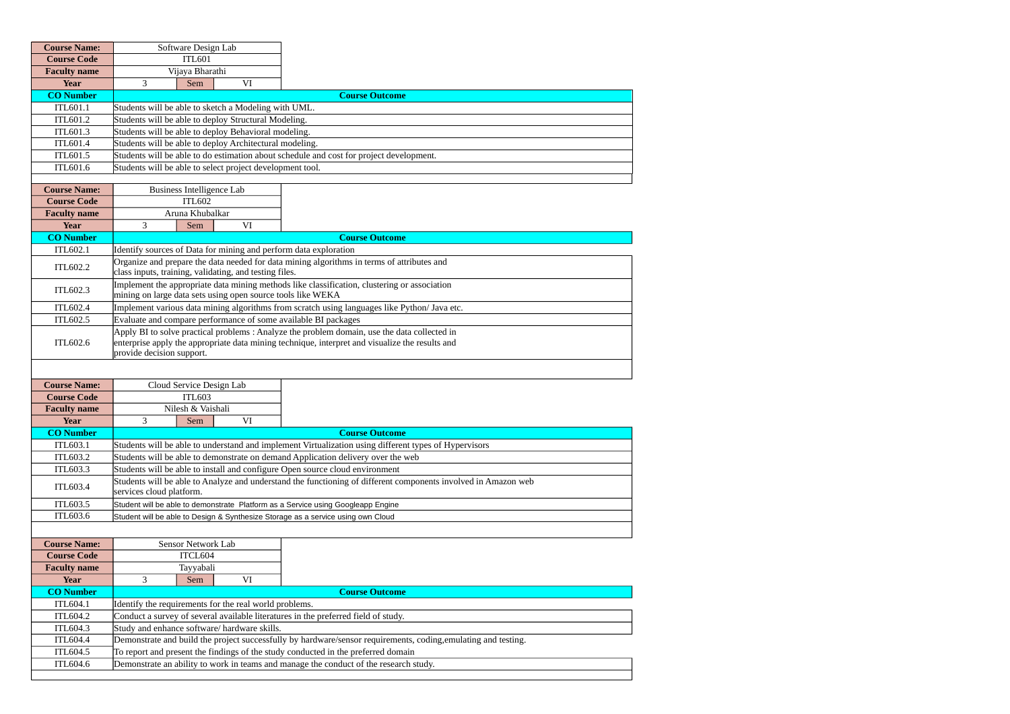| <b>Course Name:</b>             | Software Design Lab                                                                                                                                                  |                       |  |  |  |  |
|---------------------------------|----------------------------------------------------------------------------------------------------------------------------------------------------------------------|-----------------------|--|--|--|--|
| <b>Course Code</b>              | <b>ITL601</b>                                                                                                                                                        |                       |  |  |  |  |
| <b>Faculty name</b>             | Vijaya Bharathi                                                                                                                                                      |                       |  |  |  |  |
| <b>Year</b>                     | 3<br>VI<br>Sem                                                                                                                                                       |                       |  |  |  |  |
| <b>CO Number</b>                |                                                                                                                                                                      | <b>Course Outcome</b> |  |  |  |  |
| ITL601.1                        | Students will be able to sketch a Modeling with UML.                                                                                                                 |                       |  |  |  |  |
| ITL601.2                        | Students will be able to deploy Structural Modeling.                                                                                                                 |                       |  |  |  |  |
| ITL601.3                        | Students will be able to deploy Behavioral modeling.                                                                                                                 |                       |  |  |  |  |
| ITL601.4                        | Students will be able to deploy Architectural modeling.                                                                                                              |                       |  |  |  |  |
| ITL601.5                        | Students will be able to do estimation about schedule and cost for project development.                                                                              |                       |  |  |  |  |
| ITL601.6                        | Students will be able to select project development tool.                                                                                                            |                       |  |  |  |  |
|                                 |                                                                                                                                                                      |                       |  |  |  |  |
| <b>Course Name:</b>             | <b>Business Intelligence Lab</b>                                                                                                                                     |                       |  |  |  |  |
| <b>Course Code</b>              | <b>ITL602</b>                                                                                                                                                        |                       |  |  |  |  |
| <b>Faculty name</b>             | Aruna Khubalkar<br>VI                                                                                                                                                |                       |  |  |  |  |
| <b>Year</b><br><b>CO Number</b> | 3<br>Sem                                                                                                                                                             |                       |  |  |  |  |
| ITL602.1                        | Identify sources of Data for mining and perform data exploration                                                                                                     | <b>Course Outcome</b> |  |  |  |  |
|                                 | Organize and prepare the data needed for data mining algorithms in terms of attributes and                                                                           |                       |  |  |  |  |
| ITL602.2                        | class inputs, training, validating, and testing files.                                                                                                               |                       |  |  |  |  |
|                                 | Implement the appropriate data mining methods like classification, clustering or association                                                                         |                       |  |  |  |  |
| ITL602.3                        | mining on large data sets using open source tools like WEKA                                                                                                          |                       |  |  |  |  |
| ITL602.4                        | Implement various data mining algorithms from scratch using languages like Python/ Java etc.                                                                         |                       |  |  |  |  |
| ITL602.5                        | Evaluate and compare performance of some available BI packages                                                                                                       |                       |  |  |  |  |
|                                 | Apply BI to solve practical problems : Analyze the problem domain, use the data collected in                                                                         |                       |  |  |  |  |
| ITL602.6                        | enterprise apply the appropriate data mining technique, interpret and visualize the results and                                                                      |                       |  |  |  |  |
|                                 | provide decision support.                                                                                                                                            |                       |  |  |  |  |
|                                 |                                                                                                                                                                      |                       |  |  |  |  |
| <b>Course Name:</b>             | Cloud Service Design Lab                                                                                                                                             |                       |  |  |  |  |
| <b>Course Code</b>              | <b>ITL603</b>                                                                                                                                                        |                       |  |  |  |  |
| <b>Faculty name</b>             | Nilesh & Vaishali                                                                                                                                                    |                       |  |  |  |  |
| Year                            | 3<br>VI<br>Sem                                                                                                                                                       |                       |  |  |  |  |
| <b>CO Number</b>                |                                                                                                                                                                      | <b>Course Outcome</b> |  |  |  |  |
| ITL603.1                        | Students will be able to understand and implement Virtualization using different types of Hypervisors                                                                |                       |  |  |  |  |
| ITL603.2                        | Students will be able to demonstrate on demand Application delivery over the web                                                                                     |                       |  |  |  |  |
| ITL603.3                        | Students will be able to install and configure Open source cloud environment                                                                                         |                       |  |  |  |  |
| ITL603.4                        | Students will be able to Analyze and understand the functioning of different components involved in Amazon web<br>services cloud platform.                           |                       |  |  |  |  |
| ITL603.5                        |                                                                                                                                                                      |                       |  |  |  |  |
| ITL603.6                        | Student will be able to demonstrate Platform as a Service using Googleapp Engine<br>Student will be able to Design & Synthesize Storage as a service using own Cloud |                       |  |  |  |  |
|                                 |                                                                                                                                                                      |                       |  |  |  |  |
|                                 |                                                                                                                                                                      |                       |  |  |  |  |
| <b>Course Name:</b>             | Sensor Network Lab                                                                                                                                                   |                       |  |  |  |  |
| <b>Course Code</b>              | ITCL604<br>Tayyabali                                                                                                                                                 |                       |  |  |  |  |
| <b>Faculty name</b><br>Year     | 3<br>Sem<br>VI                                                                                                                                                       |                       |  |  |  |  |
| <b>CO</b> Number                |                                                                                                                                                                      | <b>Course Outcome</b> |  |  |  |  |
| ITL604.1                        | Identify the requirements for the real world problems.                                                                                                               |                       |  |  |  |  |
| ITL604.2                        | Conduct a survey of several available literatures in the preferred field of study.                                                                                   |                       |  |  |  |  |
| ITL604.3                        | Study and enhance software/ hardware skills.                                                                                                                         |                       |  |  |  |  |
| <b>ITL604.4</b>                 | Demonstrate and build the project successfully by hardware/sensor requirements, coding, emulating and testing.                                                       |                       |  |  |  |  |
| ITL604.5                        | To report and present the findings of the study conducted in the preferred domain                                                                                    |                       |  |  |  |  |
| ITL604.6                        |                                                                                                                                                                      |                       |  |  |  |  |
|                                 | Demonstrate an ability to work in teams and manage the conduct of the research study.                                                                                |                       |  |  |  |  |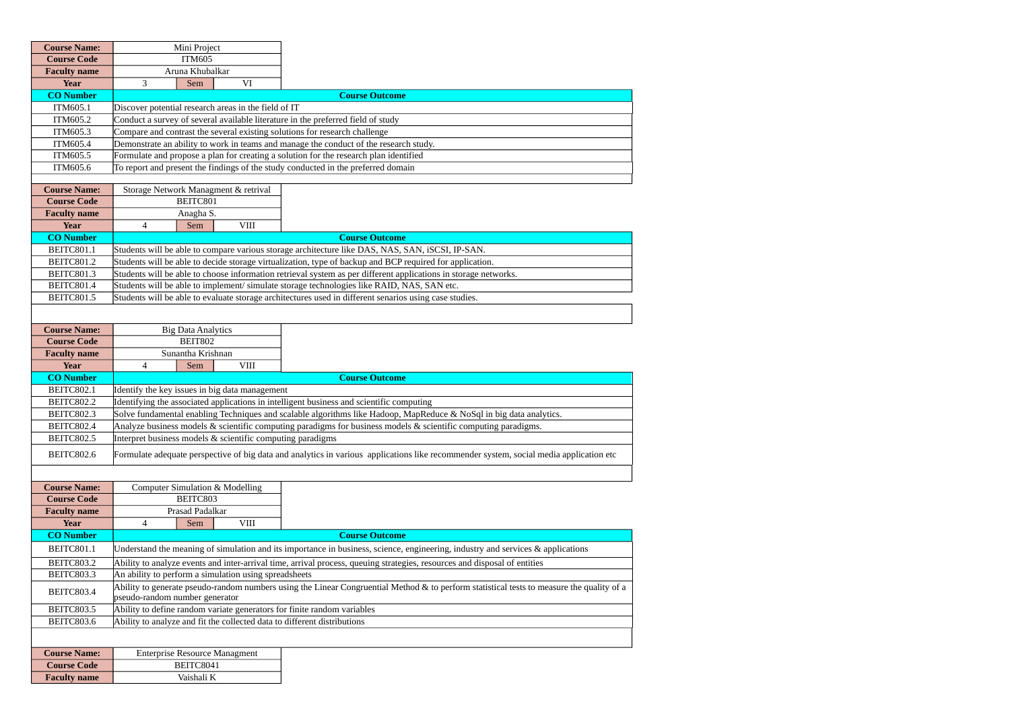| <b>Course Name:</b> | Mini Project                                                                             |                                                                                                                                           |
|---------------------|------------------------------------------------------------------------------------------|-------------------------------------------------------------------------------------------------------------------------------------------|
| <b>Course Code</b>  | <b>ITM605</b>                                                                            |                                                                                                                                           |
| <b>Faculty name</b> | Aruna Khubalkar                                                                          |                                                                                                                                           |
| Year                | VI<br>3<br>Sem                                                                           |                                                                                                                                           |
| <b>CO</b> Number    |                                                                                          | <b>Course Outcome</b>                                                                                                                     |
| ITM605.1            | Discover potential research areas in the field of IT                                     |                                                                                                                                           |
| ITM605.2            | Conduct a survey of several available literature in the preferred field of study         |                                                                                                                                           |
| ITM605.3            | Compare and contrast the several existing solutions for research challenge               |                                                                                                                                           |
| ITM605.4            | Demonstrate an ability to work in teams and manage the conduct of the research study.    |                                                                                                                                           |
| ITM605.5            | Formulate and propose a plan for creating a solution for the research plan identified    |                                                                                                                                           |
| ITM605.6            | To report and present the findings of the study conducted in the preferred domain        |                                                                                                                                           |
|                     |                                                                                          |                                                                                                                                           |
| <b>Course Name:</b> | Storage Network Managment & retrival                                                     |                                                                                                                                           |
| <b>Course Code</b>  | BEITC801                                                                                 |                                                                                                                                           |
| <b>Faculty name</b> | Anagha S.                                                                                |                                                                                                                                           |
| Year                | <b>VIII</b><br>$\overline{4}$<br>Sem                                                     |                                                                                                                                           |
| <b>CO Number</b>    |                                                                                          | <b>Course Outcome</b>                                                                                                                     |
| BEITC801.1          |                                                                                          | Students will be able to compare various storage architecture like DAS, NAS, SAN, iSCSI, IP-SAN.                                          |
| <b>BEITC801.2</b>   |                                                                                          | Students will be able to decide storage virtualization, type of backup and BCP required for application.                                  |
| BEITC801.3          |                                                                                          | Students will be able to choose information retrieval system as per different applications in storage networks.                           |
| <b>BEITC801.4</b>   |                                                                                          | Students will be able to implement/ simulate storage technologies like RAID, NAS, SAN etc.                                                |
| BEITC801.5          |                                                                                          | Students will be able to evaluate storage architectures used in different senarios using case studies.                                    |
|                     |                                                                                          |                                                                                                                                           |
|                     |                                                                                          |                                                                                                                                           |
| <b>Course Name:</b> | <b>Big Data Analytics</b>                                                                |                                                                                                                                           |
| <b>Course Code</b>  | <b>BEIT802</b>                                                                           |                                                                                                                                           |
| <b>Faculty name</b> | Sunantha Krishnan                                                                        |                                                                                                                                           |
|                     |                                                                                          |                                                                                                                                           |
| Year                | $\overline{4}$<br><b>VIII</b><br>Sem                                                     |                                                                                                                                           |
| <b>CO Number</b>    |                                                                                          | <b>Course Outcome</b>                                                                                                                     |
| <b>BEITC802.1</b>   | Identify the key issues in big data management                                           |                                                                                                                                           |
| <b>BEITC802.2</b>   | Identifying the associated applications in intelligent business and scientific computing |                                                                                                                                           |
| BEITC802.3          |                                                                                          | Solve fundamental enabling Techniques and scalable algorithms like Hadoop, MapReduce & NoSql in big data analytics.                       |
| <b>BEITC802.4</b>   |                                                                                          | Analyze business models & scientific computing paradigms for business models & scientific computing paradigms.                            |
| BEITC802.5          | Interpret business models & scientific computing paradigms                               |                                                                                                                                           |
| BEITC802.6          |                                                                                          | Formulate adequate perspective of big data and analytics in various applications like recommender system, social media application etc    |
|                     |                                                                                          |                                                                                                                                           |
|                     |                                                                                          |                                                                                                                                           |
| <b>Course Name:</b> | <b>Computer Simulation &amp; Modelling</b>                                               |                                                                                                                                           |
| <b>Course Code</b>  | BEITC803                                                                                 |                                                                                                                                           |
| <b>Faculty name</b> | Prasad Padalkar                                                                          |                                                                                                                                           |
| Year                | $\overline{4}$<br><b>VIII</b><br>Sem                                                     |                                                                                                                                           |
| <b>CO Number</b>    |                                                                                          | <b>Course Outcome</b>                                                                                                                     |
| BEITC801.1          |                                                                                          | Understand the meaning of simulation and its importance in business, science, engineering, industry and services & applications           |
| <b>BEITC803.2</b>   |                                                                                          | Ability to analyze events and inter-arrival time, arrival process, queuing strategies, resources and disposal of entities                 |
| BEITC803.3          | An ability to perform a simulation using spreadsheets                                    |                                                                                                                                           |
| BEITC803.4          |                                                                                          | Ability to generate pseudo-random numbers using the Linear Congruential Method & to perform statistical tests to measure the quality of a |
|                     | pseudo-random number generator                                                           |                                                                                                                                           |
| <b>BEITC803.5</b>   | Ability to define random variate generators for finite random variables                  |                                                                                                                                           |
| BEITC803.6          | Ability to analyze and fit the collected data to different distributions                 |                                                                                                                                           |
|                     |                                                                                          |                                                                                                                                           |
| <b>Course Name:</b> | <b>Enterprise Resource Managment</b>                                                     |                                                                                                                                           |
| <b>Course Code</b>  | BEITC8041                                                                                |                                                                                                                                           |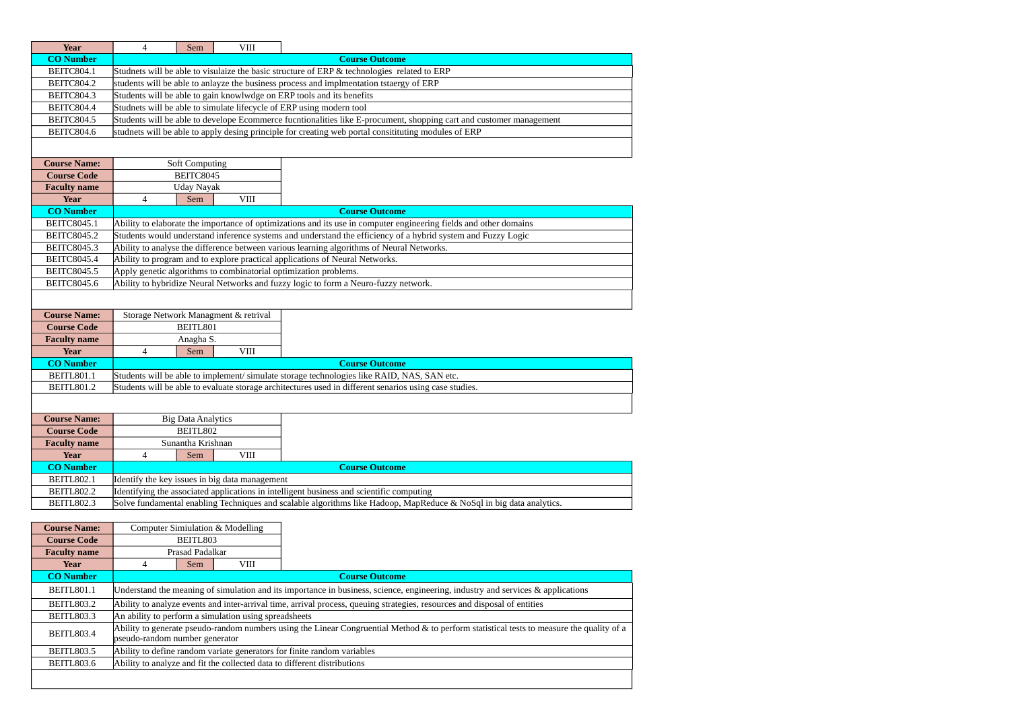| Year                            | $\overline{4}$                 | Sem                                | <b>VIII</b>                                           |                                                                                                                                           |
|---------------------------------|--------------------------------|------------------------------------|-------------------------------------------------------|-------------------------------------------------------------------------------------------------------------------------------------------|
| <b>CO</b> Number                |                                |                                    |                                                       | <b>Course Outcome</b>                                                                                                                     |
| <b>BEITC804.1</b>               |                                |                                    |                                                       | Studnets will be able to visulaize the basic structure of ERP & technologies related to ERP                                               |
| <b>BEITC804.2</b>               |                                |                                    |                                                       | students will be able to anlayze the business process and implmentation tstaergy of ERP                                                   |
| <b>BEITC804.3</b>               |                                |                                    |                                                       | Students will be able to gain knowlwdge on ERP tools and its benefits                                                                     |
| <b>BEITC804.4</b>               |                                |                                    |                                                       | Studnets will be able to simulate lifecycle of ERP using modern tool                                                                      |
| <b>BEITC804.5</b>               |                                |                                    |                                                       | Students will be able to develope Ecommerce fucntionalities like E-procument, shopping cart and customer management                       |
| BEITC804.6                      |                                |                                    |                                                       | studnets will be able to apply desing principle for creating web portal consitituting modules of ERP                                      |
|                                 |                                |                                    |                                                       |                                                                                                                                           |
|                                 |                                |                                    |                                                       |                                                                                                                                           |
| <b>Course Name:</b>             |                                | <b>Soft Computing</b><br>BEITC8045 |                                                       |                                                                                                                                           |
| <b>Course Code</b>              |                                |                                    |                                                       |                                                                                                                                           |
| <b>Faculty name</b>             |                                | <b>Uday Nayak</b>                  |                                                       |                                                                                                                                           |
| <b>Year</b><br><b>CO Number</b> | 4                              | Sem                                | <b>VIII</b>                                           | <b>Course Outcome</b>                                                                                                                     |
| <b>BEITC8045.1</b>              |                                |                                    |                                                       | Ability to elaborate the importance of optimizations and its use in computer engineering fields and other domains                         |
| <b>BEITC8045.2</b>              |                                |                                    |                                                       | Students would understand inference systems and understand the efficiency of a hybrid system and Fuzzy Logic                              |
| BEITC8045.3                     |                                |                                    |                                                       | Ability to analyse the difference between various learning algorithms of Neural Networks.                                                 |
| <b>BEITC8045.4</b>              |                                |                                    |                                                       | Ability to program and to explore practical applications of Neural Networks.                                                              |
| <b>BEITC8045.5</b>              |                                |                                    |                                                       | Apply genetic algorithms to combinatorial optimization problems.                                                                          |
| <b>BEITC8045.6</b>              |                                |                                    |                                                       | Ability to hybridize Neural Networks and fuzzy logic to form a Neuro-fuzzy network.                                                       |
|                                 |                                |                                    |                                                       |                                                                                                                                           |
|                                 |                                |                                    |                                                       |                                                                                                                                           |
| <b>Course Name:</b>             |                                |                                    | Storage Network Managment & retrival                  |                                                                                                                                           |
| <b>Course Code</b>              |                                | BEITL801                           |                                                       |                                                                                                                                           |
| <b>Faculty name</b>             |                                | Anagha S.                          |                                                       |                                                                                                                                           |
| <b>Year</b>                     | 4                              | Sem                                | <b>VIII</b>                                           |                                                                                                                                           |
| <b>CO</b> Number                |                                |                                    |                                                       | <b>Course Outcome</b>                                                                                                                     |
| <b>BEITL801.1</b>               |                                |                                    |                                                       | Students will be able to implement/ simulate storage technologies like RAID, NAS, SAN etc.                                                |
| <b>BEITL801.2</b>               |                                |                                    |                                                       | Students will be able to evaluate storage architectures used in different senarios using case studies.                                    |
|                                 |                                |                                    |                                                       |                                                                                                                                           |
| <b>Course Name:</b>             |                                | <b>Big Data Analytics</b>          |                                                       |                                                                                                                                           |
| <b>Course Code</b>              |                                | BEITL802                           |                                                       |                                                                                                                                           |
| <b>Faculty name</b>             |                                | Sunantha Krishnan                  |                                                       |                                                                                                                                           |
| <b>Year</b>                     | $\overline{4}$                 | Sem                                | <b>VIII</b>                                           |                                                                                                                                           |
| <b>CO</b> Number                |                                |                                    |                                                       | <b>Course Outcome</b>                                                                                                                     |
| <b>BEITL802.1</b>               |                                |                                    | Identify the key issues in big data management        |                                                                                                                                           |
| <b>BEITL802.2</b>               |                                |                                    |                                                       | Identifying the associated applications in intelligent business and scientific computing                                                  |
| <b>BEITL802.3</b>               |                                |                                    |                                                       | Solve fundamental enabling Techniques and scalable algorithms like Hadoop, MapReduce & NoSql in big data analytics.                       |
|                                 |                                |                                    |                                                       |                                                                                                                                           |
| <b>Course Name:</b>             |                                |                                    | Computer Simiulation & Modelling                      |                                                                                                                                           |
| <b>Course Code</b>              |                                | BEITL803                           |                                                       |                                                                                                                                           |
| <b>Faculty name</b>             |                                | Prasad Padalkar                    |                                                       |                                                                                                                                           |
| <b>Year</b>                     | $\overline{4}$                 | Sem                                | <b>VIII</b>                                           |                                                                                                                                           |
| <b>CO</b> Number                |                                |                                    |                                                       | <b>Course Outcome</b>                                                                                                                     |
| <b>BEITL801.1</b>               |                                |                                    |                                                       | Understand the meaning of simulation and its importance in business, science, engineering, industry and services & applications           |
| BEITL803.2                      |                                |                                    |                                                       | Ability to analyze events and inter-arrival time, arrival process, queuing strategies, resources and disposal of entities                 |
| BEITL803.3                      |                                |                                    | An ability to perform a simulation using spreadsheets |                                                                                                                                           |
|                                 |                                |                                    |                                                       | Ability to generate pseudo-random numbers using the Linear Congruential Method & to perform statistical tests to measure the quality of a |
| <b>BEITL803.4</b>               | pseudo-random number generator |                                    |                                                       |                                                                                                                                           |
| BEITL803.5                      |                                |                                    |                                                       | Ability to define random variate generators for finite random variables                                                                   |
| <b>BEITL803.6</b>               |                                |                                    |                                                       | Ability to analyze and fit the collected data to different distributions                                                                  |